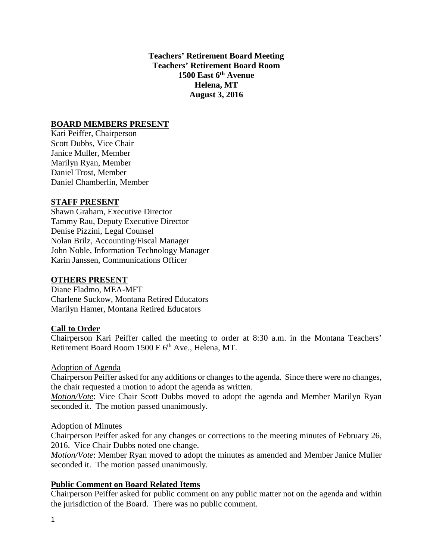**Teachers' Retirement Board Meeting Teachers' Retirement Board Room 1500 East 6th Avenue Helena, MT August 3, 2016**

### **BOARD MEMBERS PRESENT**

Kari Peiffer, Chairperson Scott Dubbs, Vice Chair Janice Muller, Member Marilyn Ryan, Member Daniel Trost, Member Daniel Chamberlin, Member

### **STAFF PRESENT**

Shawn Graham, Executive Director Tammy Rau, Deputy Executive Director Denise Pizzini, Legal Counsel Nolan Brilz, Accounting/Fiscal Manager John Noble, Information Technology Manager Karin Janssen, Communications Officer

### **OTHERS PRESENT**

Diane Fladmo, MEA-MFT Charlene Suckow, Montana Retired Educators Marilyn Hamer, Montana Retired Educators

### **Call to Order**

Chairperson Kari Peiffer called the meeting to order at 8:30 a.m. in the Montana Teachers' Retirement Board Room 1500 E 6<sup>th</sup> Ave., Helena, MT.

#### Adoption of Agenda

Chairperson Peiffer asked for any additions or changes to the agenda. Since there were no changes, the chair requested a motion to adopt the agenda as written.

*Motion/Vote*: Vice Chair Scott Dubbs moved to adopt the agenda and Member Marilyn Ryan seconded it. The motion passed unanimously.

#### Adoption of Minutes

Chairperson Peiffer asked for any changes or corrections to the meeting minutes of February 26, 2016. Vice Chair Dubbs noted one change.

*Motion/Vote*: Member Ryan moved to adopt the minutes as amended and Member Janice Muller seconded it. The motion passed unanimously.

### **Public Comment on Board Related Items**

Chairperson Peiffer asked for public comment on any public matter not on the agenda and within the jurisdiction of the Board. There was no public comment.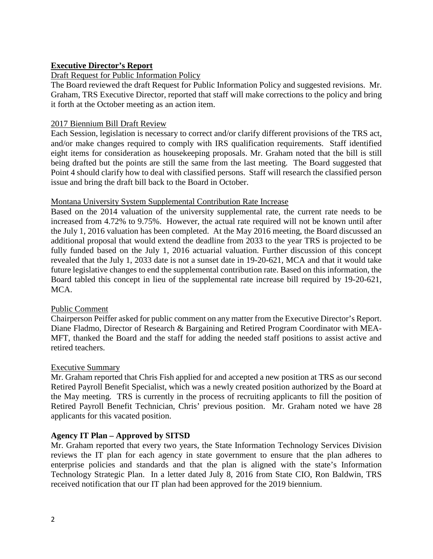# **Executive Director's Report**

# Draft Request for Public Information Policy

The Board reviewed the draft Request for Public Information Policy and suggested revisions. Mr. Graham, TRS Executive Director, reported that staff will make corrections to the policy and bring it forth at the October meeting as an action item.

## 2017 Biennium Bill Draft Review

Each Session, legislation is necessary to correct and/or clarify different provisions of the TRS act, and/or make changes required to comply with IRS qualification requirements. Staff identified eight items for consideration as housekeeping proposals. Mr. Graham noted that the bill is still being drafted but the points are still the same from the last meeting. The Board suggested that Point 4 should clarify how to deal with classified persons. Staff will research the classified person issue and bring the draft bill back to the Board in October.

## Montana University System Supplemental Contribution Rate Increase

Based on the 2014 valuation of the university supplemental rate, the current rate needs to be increased from 4.72% to 9.75%. However, the actual rate required will not be known until after the July 1, 2016 valuation has been completed. At the May 2016 meeting, the Board discussed an additional proposal that would extend the deadline from 2033 to the year TRS is projected to be fully funded based on the July 1, 2016 actuarial valuation. Further discussion of this concept revealed that the July 1, 2033 date is not a sunset date in 19-20-621, MCA and that it would take future legislative changes to end the supplemental contribution rate. Based on this information, the Board tabled this concept in lieu of the supplemental rate increase bill required by 19-20-621, MCA.

## Public Comment

Chairperson Peiffer asked for public comment on any matter from the Executive Director's Report. Diane Fladmo, Director of Research & Bargaining and Retired Program Coordinator with MEA-MFT, thanked the Board and the staff for adding the needed staff positions to assist active and retired teachers.

## Executive Summary

Mr. Graham reported that Chris Fish applied for and accepted a new position at TRS as our second Retired Payroll Benefit Specialist, which was a newly created position authorized by the Board at the May meeting. TRS is currently in the process of recruiting applicants to fill the position of Retired Payroll Benefit Technician, Chris' previous position. Mr. Graham noted we have 28 applicants for this vacated position.

# **Agency IT Plan – Approved by SITSD**

Mr. Graham reported that every two years, the State Information Technology Services Division reviews the IT plan for each agency in state government to ensure that the plan adheres to enterprise policies and standards and that the plan is aligned with the state's Information Technology Strategic Plan. In a letter dated July 8, 2016 from State CIO, Ron Baldwin, TRS received notification that our IT plan had been approved for the 2019 biennium.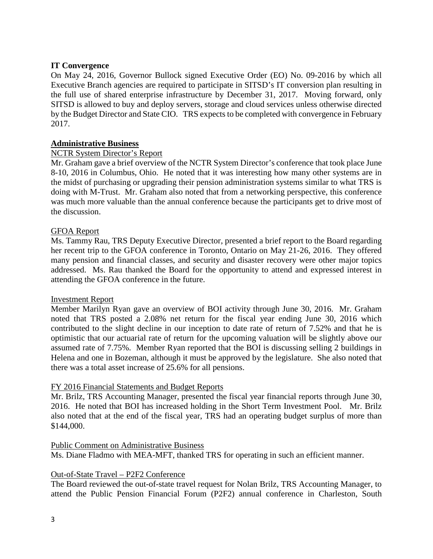# **IT Convergence**

On May 24, 2016, Governor Bullock signed Executive Order (EO) No. 09-2016 by which all Executive Branch agencies are required to participate in SITSD's IT conversion plan resulting in the full use of shared enterprise infrastructure by December 31, 2017. Moving forward, only SITSD is allowed to buy and deploy servers, storage and cloud services unless otherwise directed by the Budget Director and State CIO. TRS expects to be completed with convergence in February 2017.

# **Administrative Business**

# NCTR System Director's Report

Mr. Graham gave a brief overview of the NCTR System Director's conference that took place June 8-10, 2016 in Columbus, Ohio. He noted that it was interesting how many other systems are in the midst of purchasing or upgrading their pension administration systems similar to what TRS is doing with M-Trust. Mr. Graham also noted that from a networking perspective, this conference was much more valuable than the annual conference because the participants get to drive most of the discussion.

## GFOA Report

Ms. Tammy Rau, TRS Deputy Executive Director, presented a brief report to the Board regarding her recent trip to the GFOA conference in Toronto, Ontario on May 21-26, 2016. They offered many pension and financial classes, and security and disaster recovery were other major topics addressed. Ms. Rau thanked the Board for the opportunity to attend and expressed interest in attending the GFOA conference in the future.

## Investment Report

Member Marilyn Ryan gave an overview of BOI activity through June 30, 2016. Mr. Graham noted that TRS posted a 2.08% net return for the fiscal year ending June 30, 2016 which contributed to the slight decline in our inception to date rate of return of 7.52% and that he is optimistic that our actuarial rate of return for the upcoming valuation will be slightly above our assumed rate of 7.75%. Member Ryan reported that the BOI is discussing selling 2 buildings in Helena and one in Bozeman, although it must be approved by the legislature. She also noted that there was a total asset increase of 25.6% for all pensions.

## FY 2016 Financial Statements and Budget Reports

Mr. Brilz, TRS Accounting Manager, presented the fiscal year financial reports through June 30, 2016. He noted that BOI has increased holding in the Short Term Investment Pool. Mr. Brilz also noted that at the end of the fiscal year, TRS had an operating budget surplus of more than \$144,000.

## Public Comment on Administrative Business

Ms. Diane Fladmo with MEA-MFT, thanked TRS for operating in such an efficient manner.

## Out-of-State Travel – P2F2 Conference

The Board reviewed the out-of-state travel request for Nolan Brilz, TRS Accounting Manager, to attend the Public Pension Financial Forum (P2F2) annual conference in Charleston, South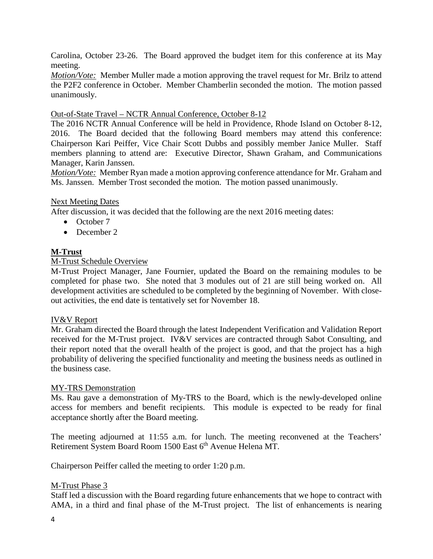Carolina, October 23-26. The Board approved the budget item for this conference at its May meeting.

*Motion/Vote:* Member Muller made a motion approving the travel request for Mr. Brilz to attend the P2F2 conference in October. Member Chamberlin seconded the motion. The motion passed unanimously.

Out-of-State Travel – NCTR Annual Conference, October 8-12

The 2016 NCTR Annual Conference will be held in Providence, Rhode Island on October 8-12, 2016. The Board decided that the following Board members may attend this conference: Chairperson Kari Peiffer, Vice Chair Scott Dubbs and possibly member Janice Muller. Staff members planning to attend are: Executive Director, Shawn Graham, and Communications Manager, Karin Janssen.

*Motion/Vote:* Member Ryan made a motion approving conference attendance for Mr. Graham and Ms. Janssen. Member Trost seconded the motion. The motion passed unanimously.

# Next Meeting Dates

After discussion, it was decided that the following are the next 2016 meeting dates:

- October 7
- December 2

# **M-Trust**

## M-Trust Schedule Overview

M-Trust Project Manager, Jane Fournier, updated the Board on the remaining modules to be completed for phase two. She noted that 3 modules out of 21 are still being worked on. All development activities are scheduled to be completed by the beginning of November. With closeout activities, the end date is tentatively set for November 18.

## IV&V Report

Mr. Graham directed the Board through the latest Independent Verification and Validation Report received for the M-Trust project. IV&V services are contracted through Sabot Consulting, and their report noted that the overall health of the project is good, and that the project has a high probability of delivering the specified functionality and meeting the business needs as outlined in the business case.

## MY-TRS Demonstration

Ms. Rau gave a demonstration of My-TRS to the Board, which is the newly-developed online access for members and benefit recipients. This module is expected to be ready for final acceptance shortly after the Board meeting.

The meeting adjourned at 11:55 a.m. for lunch. The meeting reconvened at the Teachers' Retirement System Board Room 1500 East 6<sup>th</sup> Avenue Helena MT.

Chairperson Peiffer called the meeting to order 1:20 p.m.

## M-Trust Phase 3

Staff led a discussion with the Board regarding future enhancements that we hope to contract with AMA, in a third and final phase of the M-Trust project. The list of enhancements is nearing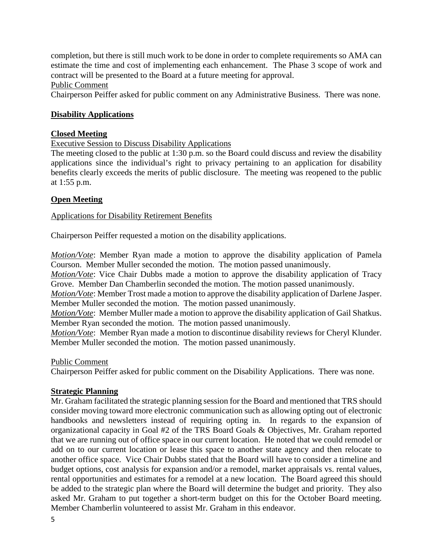completion, but there is still much work to be done in order to complete requirements so AMA can estimate the time and cost of implementing each enhancement. The Phase 3 scope of work and contract will be presented to the Board at a future meeting for approval.

### Public Comment

Chairperson Peiffer asked for public comment on any Administrative Business. There was none.

## **Disability Applications**

### **Closed Meeting**

# Executive Session to Discuss Disability Applications

The meeting closed to the public at 1:30 p.m. so the Board could discuss and review the disability applications since the individual's right to privacy pertaining to an application for disability benefits clearly exceeds the merits of public disclosure. The meeting was reopened to the public at 1:55 p.m.

## **Open Meeting**

### Applications for Disability Retirement Benefits

Chairperson Peiffer requested a motion on the disability applications.

*Motion/Vote*: Member Ryan made a motion to approve the disability application of Pamela Courson. Member Muller seconded the motion. The motion passed unanimously.

*Motion/Vote*: Vice Chair Dubbs made a motion to approve the disability application of Tracy Grove. Member Dan Chamberlin seconded the motion. The motion passed unanimously.

*Motion/Vote*: Member Trost made a motion to approve the disability application of Darlene Jasper. Member Muller seconded the motion. The motion passed unanimously.

*Motion/Vote*: Member Muller made a motion to approve the disability application of Gail Shatkus. Member Ryan seconded the motion. The motion passed unanimously.

*Motion/Vote*: Member Ryan made a motion to discontinue disability reviews for Cheryl Klunder. Member Muller seconded the motion. The motion passed unanimously.

### Public Comment

Chairperson Peiffer asked for public comment on the Disability Applications. There was none.

## **Strategic Planning**

Mr. Graham facilitated the strategic planning session for the Board and mentioned that TRS should consider moving toward more electronic communication such as allowing opting out of electronic handbooks and newsletters instead of requiring opting in. In regards to the expansion of organizational capacity in Goal #2 of the TRS Board Goals & Objectives, Mr. Graham reported that we are running out of office space in our current location. He noted that we could remodel or add on to our current location or lease this space to another state agency and then relocate to another office space. Vice Chair Dubbs stated that the Board will have to consider a timeline and budget options, cost analysis for expansion and/or a remodel, market appraisals vs. rental values, rental opportunities and estimates for a remodel at a new location. The Board agreed this should be added to the strategic plan where the Board will determine the budget and priority. They also asked Mr. Graham to put together a short-term budget on this for the October Board meeting. Member Chamberlin volunteered to assist Mr. Graham in this endeavor.